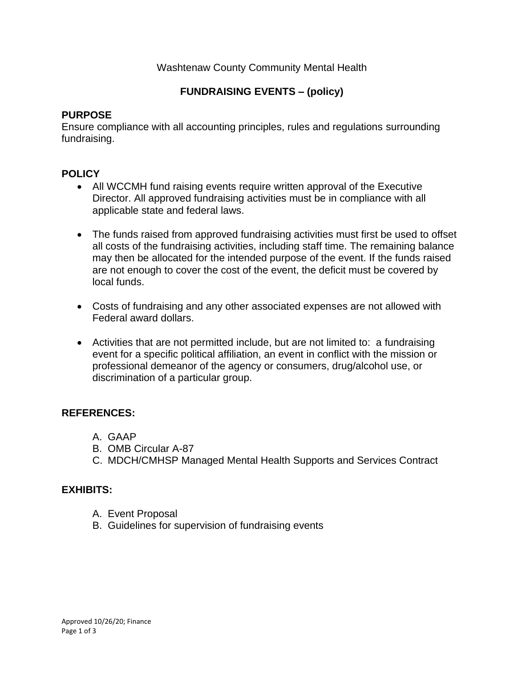# Washtenaw County Community Mental Health

# **FUNDRAISING EVENTS – (policy)**

# **PURPOSE**

Ensure compliance with all accounting principles, rules and regulations surrounding fundraising.

# **POLICY**

- All WCCMH fund raising events require written approval of the Executive Director. All approved fundraising activities must be in compliance with all applicable state and federal laws.
- The funds raised from approved fundraising activities must first be used to offset all costs of the fundraising activities, including staff time. The remaining balance may then be allocated for the intended purpose of the event. If the funds raised are not enough to cover the cost of the event, the deficit must be covered by local funds.
- Costs of fundraising and any other associated expenses are not allowed with Federal award dollars.
- Activities that are not permitted include, but are not limited to: a fundraising event for a specific political affiliation, an event in conflict with the mission or professional demeanor of the agency or consumers, drug/alcohol use, or discrimination of a particular group.

# **REFERENCES:**

- A. GAAP
- B. OMB Circular A-87
- C. MDCH/CMHSP Managed Mental Health Supports and Services Contract

# **EXHIBITS:**

- A. Event Proposal
- B. Guidelines for supervision of fundraising events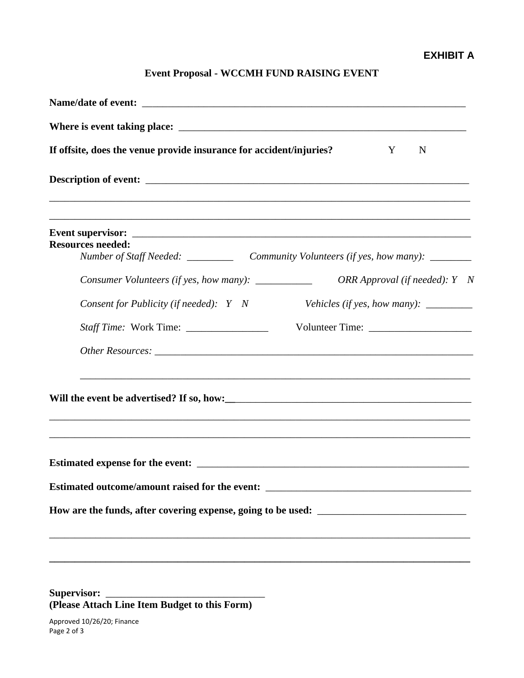# **Event Proposal - WCCMH FUND RAISING EVENT**

| If offsite, does the venue provide insurance for accident/injuries?<br>N<br>Y                                                                                                                                                                                                                                                                                                                                                                       |
|-----------------------------------------------------------------------------------------------------------------------------------------------------------------------------------------------------------------------------------------------------------------------------------------------------------------------------------------------------------------------------------------------------------------------------------------------------|
|                                                                                                                                                                                                                                                                                                                                                                                                                                                     |
| <b>Resources needed:</b>                                                                                                                                                                                                                                                                                                                                                                                                                            |
|                                                                                                                                                                                                                                                                                                                                                                                                                                                     |
| Consumer Volunteers (if yes, how many): ___________<br>ORR Approval (if needed): $Y \quad N$                                                                                                                                                                                                                                                                                                                                                        |
| Consent for Publicity (if needed): Y N<br>Vehicles (if yes, how many): $\frac{1}{\sqrt{1-\frac{1}{\sqrt{1-\frac{1}{\sqrt{1-\frac{1}{\sqrt{1-\frac{1}{\sqrt{1-\frac{1}{\sqrt{1-\frac{1}{\sqrt{1-\frac{1}{\sqrt{1-\frac{1}{\sqrt{1-\frac{1}{\sqrt{1-\frac{1}{\sqrt{1-\frac{1}{\sqrt{1-\frac{1}{\sqrt{1-\frac{1}{\sqrt{1-\frac{1}{\sqrt{1-\frac{1}{\sqrt{1-\frac{1}{\sqrt{1-\frac{1}{\sqrt{1-\frac{1}{\sqrt{1-\frac{1}{\sqrt{1-\frac{1}{\sqrt{1-\frac$ |
|                                                                                                                                                                                                                                                                                                                                                                                                                                                     |
|                                                                                                                                                                                                                                                                                                                                                                                                                                                     |
| ,我们也不能在这里的人,我们也不能在这里的人,我们也不能在这里的人,我们也不能在这里的人,我们也不能在这里的人,我们也不能在这里的人,我们也不能在这里的人,我们也                                                                                                                                                                                                                                                                                                                                                                   |
|                                                                                                                                                                                                                                                                                                                                                                                                                                                     |
| Estimated outcome/amount raised for the event: __________________________________                                                                                                                                                                                                                                                                                                                                                                   |
|                                                                                                                                                                                                                                                                                                                                                                                                                                                     |
|                                                                                                                                                                                                                                                                                                                                                                                                                                                     |
|                                                                                                                                                                                                                                                                                                                                                                                                                                                     |
|                                                                                                                                                                                                                                                                                                                                                                                                                                                     |

Supervisor: **(Please Attach Line Item Budget to this Form)**

Approved 10/26/20; Finance Page 2 of 3